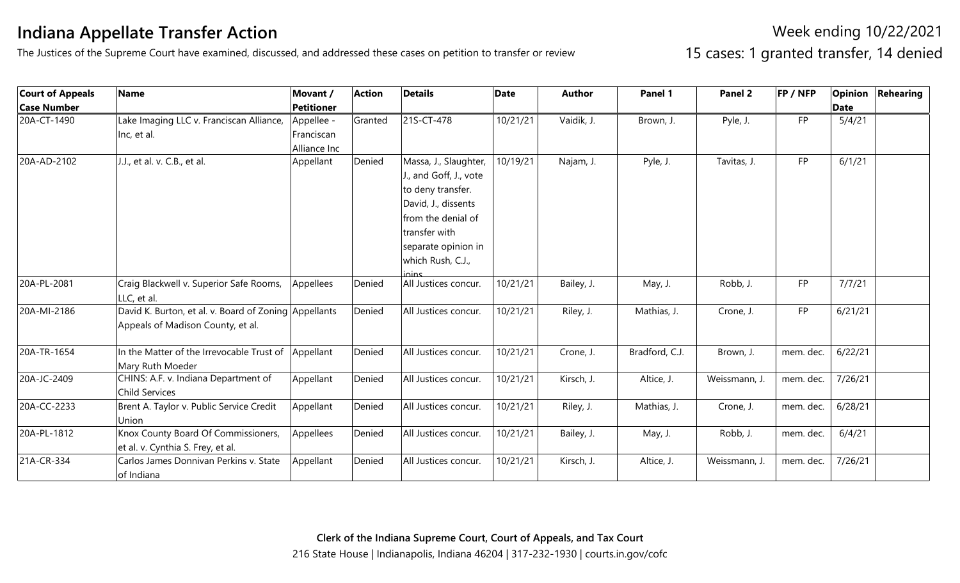## **Indiana Appellate Transfer Action**

The Justices of the Supreme Court have examined, discussed, and addressed these cases on petition to transfer or review

Week ending 10/22/2021 15 cases: 1 granted transfer, 14 denied

| <b>Court of Appeals</b> | <b>Name</b>                                                                                | Movant /                                 | <b>Action</b> | <b>Details</b>                                                                                                                                                                          | <b>Date</b> | <b>Author</b> | Panel 1        | Panel 2       | FP / NFP  |             | <b>Opinion Rehearing</b> |
|-------------------------|--------------------------------------------------------------------------------------------|------------------------------------------|---------------|-----------------------------------------------------------------------------------------------------------------------------------------------------------------------------------------|-------------|---------------|----------------|---------------|-----------|-------------|--------------------------|
| <b>Case Number</b>      |                                                                                            | <b>Petitioner</b>                        |               |                                                                                                                                                                                         |             |               |                |               |           | <b>Date</b> |                          |
| 20A-CT-1490             | Lake Imaging LLC v. Franciscan Alliance,<br>Inc, et al.                                    | Appellee -<br>Franciscan<br>Alliance Inc | Granted       | 21S-CT-478                                                                                                                                                                              | 10/21/21    | Vaidik, J.    | Brown, J.      | Pyle, J.      | <b>FP</b> | 5/4/21      |                          |
| 20A-AD-2102             | J.J., et al. v. C.B., et al.                                                               | Appellant                                | Denied        | Massa, J., Slaughter,<br>J., and Goff, J., vote<br>to deny transfer.<br>David, J., dissents<br>from the denial of<br>transfer with<br>separate opinion in<br>which Rush, C.J.,<br>inins | 10/19/21    | Najam, J.     | Pyle, J.       | Tavitas, J.   | <b>FP</b> | 6/1/21      |                          |
| 20A-PL-2081             | Craig Blackwell v. Superior Safe Rooms,<br>LLC, et al.                                     | Appellees                                | Denied        | All Justices concur.                                                                                                                                                                    | 10/21/21    | Bailey, J.    | May, J.        | Robb, J.      | FP        | 7/7/21      |                          |
| 20A-MI-2186             | David K. Burton, et al. v. Board of Zoning Appellants<br>Appeals of Madison County, et al. |                                          | Denied        | All Justices concur.                                                                                                                                                                    | 10/21/21    | Riley, J.     | Mathias, J.    | Crone, J.     | <b>FP</b> | 6/21/21     |                          |
| 20A-TR-1654             | In the Matter of the Irrevocable Trust of Appellant<br>Mary Ruth Moeder                    |                                          | Denied        | All Justices concur.                                                                                                                                                                    | 10/21/21    | Crone, J.     | Bradford, C.J. | Brown, J.     | mem. dec. | 6/22/21     |                          |
| 20A-JC-2409             | CHINS: A.F. v. Indiana Department of<br>Child Services                                     | Appellant                                | Denied        | All Justices concur.                                                                                                                                                                    | 10/21/21    | Kirsch, J.    | Altice, J.     | Weissmann, J. | mem. dec. | 7/26/21     |                          |
| 20A-CC-2233             | Brent A. Taylor v. Public Service Credit<br>Union                                          | Appellant                                | Denied        | All Justices concur.                                                                                                                                                                    | 10/21/21    | Riley, J.     | Mathias, J.    | Crone, J.     | mem. dec. | 6/28/21     |                          |
| 20A-PL-1812             | Knox County Board Of Commissioners,<br>et al. v. Cynthia S. Frey, et al.                   | Appellees                                | Denied        | All Justices concur.                                                                                                                                                                    | 10/21/21    | Bailey, J.    | May, J.        | Robb, J.      | mem. dec. | 6/4/21      |                          |
| 21A-CR-334              | Carlos James Donnivan Perkins v. State<br>of Indiana                                       | Appellant                                | Denied        | All Justices concur.                                                                                                                                                                    | 10/21/21    | Kirsch, J.    | Altice, J.     | Weissmann, J. | mem. dec. | 7/26/21     |                          |